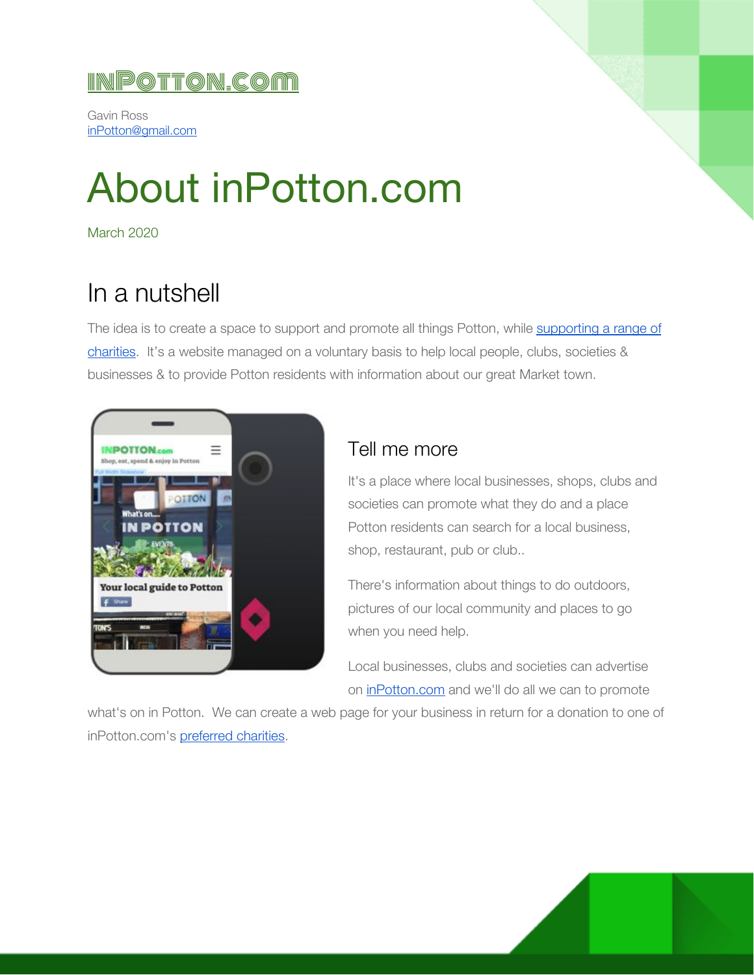### [inPotton.com](http://www.inpotton.com/)

Gavin Ross [inPotton@gmail.com](mailto:inPotton@gmail.com)

# About inPotton.com

March 2020

## In a nutshell

The idea is to create a space to support and promote all things Potton, while [supporting](https://www.inpotton.com/post/promoting-your-event-club-or-business-with-us) a range of [charities](https://www.inpotton.com/post/promoting-your-event-club-or-business-with-us). It's a website managed on a voluntary basis to help local people, clubs, societies & businesses & to provide Potton residents with information about our great Market town.



#### Tell me more

It's a place where local businesses, shops, clubs and societies can promote what they do and a place Potton residents can search for a local business, shop, restaurant, pub or club..

There's information about things to do outdoors, pictures of our local community and places to go when you need help.

Local businesses, clubs and societies can advertise on [inPotton.com](https://www.inpotton.com/) and we'll do all we can to promote

what's on in Potton. We can create a web page for your business in return for a donation to one of inPotton.com's [preferred](https://www.inpotton.com/post/promoting-your-event-club-or-business-with-us) charities.